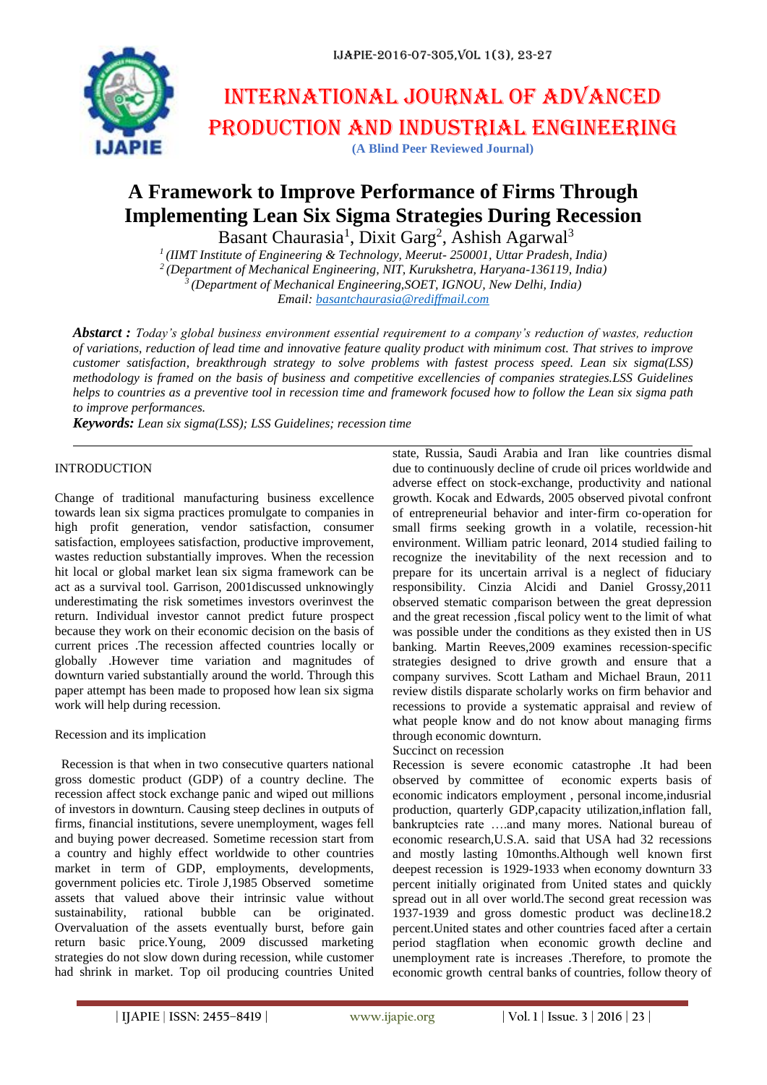

# International journal of advanced production and industrial engineering

# **(A Blind Peer Reviewed Journal)**

# **A Framework to Improve Performance of Firms Through Implementing Lean Six Sigma Strategies During Recession**

Basant Chaurasia<sup>1</sup>, Dixit Garg<sup>2</sup>, Ashish Agarwal<sup>3</sup>

 *(IIMT Institute of Engineering & Technology, Meerut- 250001, Uttar Pradesh, India) (Department of Mechanical Engineering, NIT, Kurukshetra, Haryana-136119, India) (Department of Mechanical Engineering,SOET, IGNOU, New Delhi, India) Email: [basantchaurasia@rediffmail.com](mailto:basantchaurasia@rediffmail.com)*

*Abstarct : Today's global business environment essential requirement to a company's reduction of wastes, reduction of variations, reduction of lead time and innovative feature quality product with minimum cost. That strives to improve customer satisfaction, breakthrough strategy to solve problems with fastest process speed. Lean six sigma(LSS) methodology is framed on the basis of business and competitive excellencies of companies strategies.LSS Guidelines helps to countries as a preventive tool in recession time and framework focused how to follow the Lean six sigma path to improve performances.*

*Keywords: Lean six sigma(LSS); LSS Guidelines; recession time*

# INTRODUCTION

Change of traditional manufacturing business excellence towards lean six sigma practices promulgate to companies in high profit generation, vendor satisfaction, consumer satisfaction, employees satisfaction, productive improvement, wastes reduction substantially improves. When the recession hit local or global market lean six sigma framework can be act as a survival tool. Garrison, 2001discussed unknowingly underestimating the risk sometimes investors overinvest the return. Individual investor cannot predict future prospect because they work on their economic decision on the basis of current prices .The recession affected countries locally or globally .However time variation and magnitudes of downturn varied substantially around the world. Through this paper attempt has been made to proposed how lean six sigma work will help during recession.

### Recession and its implication

 Recession is that when in two consecutive quarters national gross domestic product (GDP) of a country decline. The recession affect stock exchange panic and wiped out millions of investors in downturn. Causing steep declines in outputs of firms, financial institutions, severe unemployment, wages fell and buying power decreased. Sometime recession start from a country and highly effect worldwide to other countries market in term of GDP, employments, developments, government policies etc. Tirole J,1985 Observed sometime assets that valued above their intrinsic value without sustainability, rational bubble can be originated. Overvaluation of the assets eventually burst, before gain return basic price.Young, 2009 discussed marketing strategies do not slow down during recession, while customer had shrink in market. Top oil producing countries United state, Russia, Saudi Arabia and Iran like countries dismal due to continuously decline of crude oil prices worldwide and adverse effect on stock-exchange, productivity and national growth. Kocak and Edwards, 2005 observed pivotal confront of entrepreneurial behavior and inter‐firm co‐operation for small firms seeking growth in a volatile, recession-hit environment. William patric leonard, 2014 studied failing to recognize the inevitability of the next recession and to prepare for its uncertain arrival is a neglect of fiduciary responsibility. Cinzia Alcidi and Daniel Grossy,2011 observed stematic comparison between the great depression and the great recession ,fiscal policy went to the limit of what was possible under the conditions as they existed then in US banking. Martin Reeves,2009 examines recession‐specific strategies designed to drive growth and ensure that a company survives. Scott Latham and Michael Braun, 2011 review distils disparate scholarly works on firm behavior and recessions to provide a systematic appraisal and review of what people know and do not know about managing firms through economic downturn.

### Succinct on recession

Recession is severe economic catastrophe .It had been observed by committee of economic experts basis of economic indicators employment , personal income,indusrial production, quarterly GDP,capacity utilization,inflation fall, bankruptcies rate ….and many mores. National bureau of economic research,U.S.A. said that USA had 32 recessions and mostly lasting 10months.Although well known first deepest recession is 1929-1933 when economy downturn 33 percent initially originated from United states and quickly spread out in all over world.The second great recession was 1937-1939 and gross domestic product was decline18.2 percent.United states and other countries faced after a certain period stagflation when economic growth decline and unemployment rate is increases .Therefore, to promote the economic growth central banks of countries, follow theory of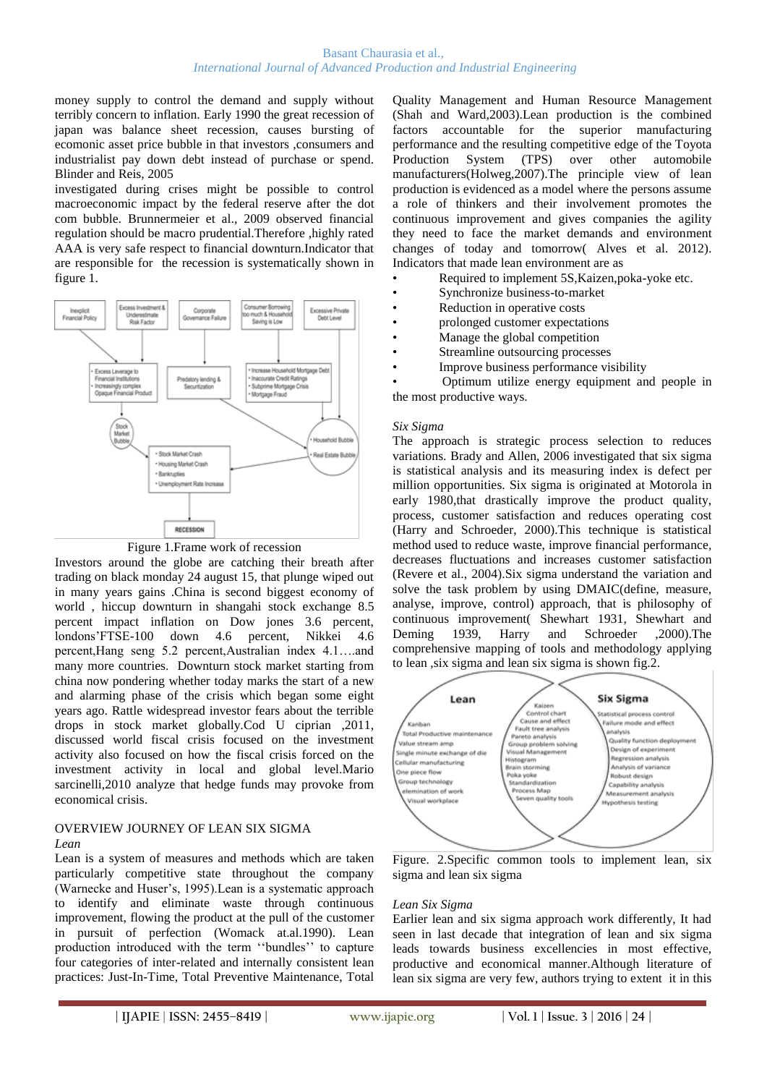money supply to control the demand and supply without terribly concern to inflation. Early 1990 the great recession of japan was balance sheet recession, causes bursting of ecomonic asset price bubble in that investors ,consumers and industrialist pay down debt instead of purchase or spend. Blinder and Reis, 2005

investigated during crises might be possible to control macroeconomic impact by the federal reserve after the dot com bubble. Brunnermeier et al., 2009 observed financial regulation should be macro prudential.Therefore ,highly rated AAA is very safe respect to financial downturn.Indicator that are responsible for the recession is systematically shown in figure 1.



Figure 1.Frame work of recession

Investors around the globe are catching their breath after trading on black monday 24 august 15, that plunge wiped out in many years gains .China is second biggest economy of world , hiccup downturn in shangahi stock exchange 8.5 percent impact inflation on Dow jones 3.6 percent, londons'FTSE-100 down 4.6 percent, Nikkei 4.6 percent,Hang seng 5.2 percent,Australian index 4.1….and many more countries. Downturn stock market starting from china now pondering whether today marks the start of a new and alarming phase of the crisis which began some eight years ago. Rattle widespread investor fears about the terrible drops in stock market globally.Cod U ciprian ,2011, discussed world fiscal crisis focused on the investment activity also focused on how the fiscal crisis forced on the investment activity in local and global level.Mario sarcinelli,2010 analyze that hedge funds may provoke from economical crisis.

# OVERVIEW JOURNEY OF LEAN SIX SIGMA

### *Lean*

Lean is a system of measures and methods which are taken particularly competitive state throughout the company (Warnecke and Huser's, 1995).Lean is a systematic approach to identify and eliminate waste through continuous improvement, flowing the product at the pull of the customer in pursuit of perfection (Womack at.al.1990). Lean production introduced with the term ''bundles'' to capture four categories of inter-related and internally consistent lean practices: Just-In-Time, Total Preventive Maintenance, Total

Quality Management and Human Resource Management (Shah and Ward,2003).Lean production is the combined factors accountable for the superior manufacturing performance and the resulting competitive edge of the Toyota Production System (TPS) over other automobile manufacturers(Holweg,2007).The principle view of lean production is evidenced as a model where the persons assume a role of thinkers and their involvement promotes the continuous improvement and gives companies the agility they need to face the market demands and environment changes of today and tomorrow( Alves et al. 2012). Indicators that made lean environment are as

- Required to implement 5S,Kaizen,poka-yoke etc.
- Synchronize business-to-market
- Reduction in operative costs
- prolonged customer expectations
- Manage the global competition
- Streamline outsourcing processes
- Improve business performance visibility

• Optimum utilize energy equipment and people in the most productive ways.

# *Six Sigma*

The approach is strategic process selection to reduces variations. Brady and Allen, 2006 investigated that six sigma is statistical analysis and its measuring index is defect per million opportunities. Six sigma is originated at Motorola in early 1980,that drastically improve the product quality, process, customer satisfaction and reduces operating cost (Harry and Schroeder, 2000).This technique is statistical method used to reduce waste, improve financial performance, decreases fluctuations and increases customer satisfaction (Revere et al., 2004).Six sigma understand the variation and solve the task problem by using DMAIC(define, measure, analyse, improve, control) approach, that is philosophy of continuous improvement( Shewhart 1931, Shewhart and Deming 1939, Harry and Schroeder ,2000).The comprehensive mapping of tools and methodology applying to lean ,six sigma and lean six sigma is shown fig.2.



Figure. 2.Specific common tools to implement lean, six sigma and lean six sigma

# *Lean Six Sigma*

Earlier lean and six sigma approach work differently, It had seen in last decade that integration of lean and six sigma leads towards business excellencies in most effective, productive and economical manner.Although literature of lean six sigma are very few, authors trying to extent it in this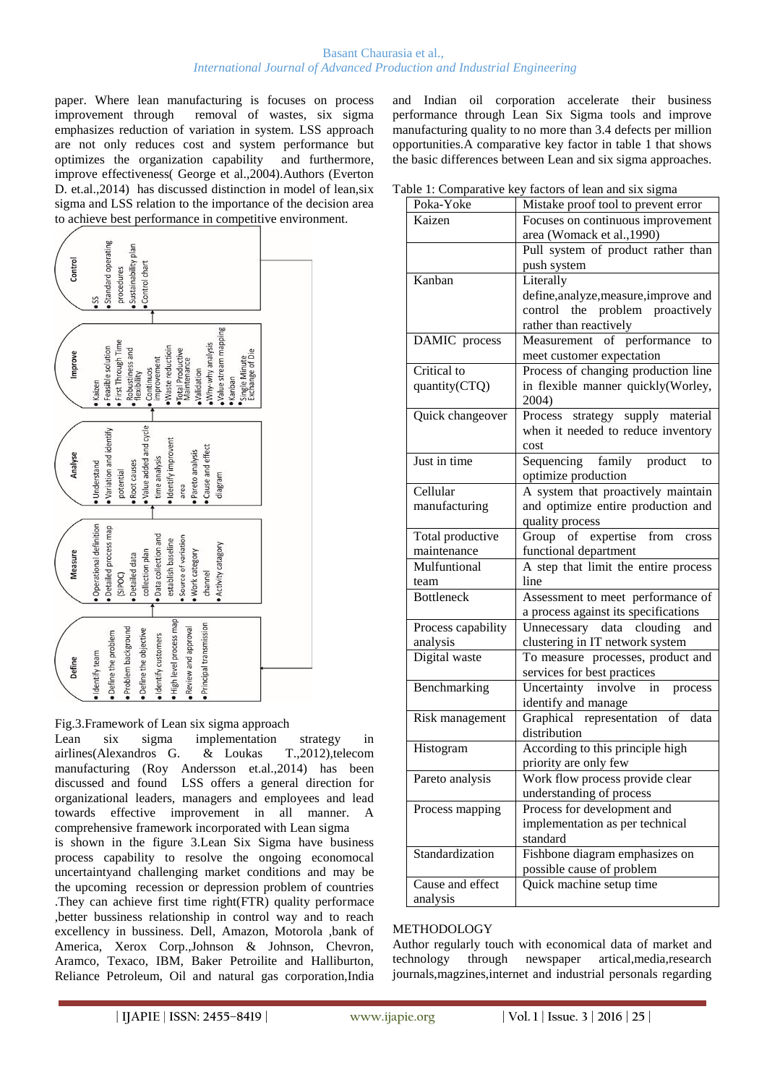#### Basant Chaurasia et al., *International Journal of Advanced Production and Industrial Engineering*

paper. Where lean manufacturing is focuses on process improvement through removal of wastes, six sigma emphasizes reduction of variation in system. LSS approach are not only reduces cost and system performance but optimizes the organization capability and furthermore, improve effectiveness( George et al.,2004).Authors (Everton D. et.al.,2014) has discussed distinction in model of lean,six sigma and LSS relation to the importance of the decision area to achieve best performance in competitive environment.



Fig.3.Framework of Lean six sigma approach

Lean six sigma implementation strategy in airlines(Alexandros G. & Loukas T.,2012),telecom manufacturing (Roy Andersson et.al.,2014) has been discussed and found LSS offers a general direction for organizational leaders, managers and employees and lead towards effective improvement in all manner. A comprehensive framework incorporated with Lean sigma is shown in the figure 3.Lean Six Sigma have business process capability to resolve the ongoing economocal uncertaintyand challenging market conditions and may be the upcoming recession or depression problem of countries .They can achieve first time right(FTR) quality performace ,better bussiness relationship in control way and to reach excellency in bussiness. Dell, Amazon, Motorola ,bank of America, Xerox Corp.,Johnson & Johnson, Chevron, Aramco, Texaco, IBM, Baker Petroilite and Halliburton, Reliance Petroleum, Oil and natural gas corporation,India

and Indian oil corporation accelerate their business performance through Lean Six Sigma tools and improve manufacturing quality to no more than 3.4 defects per million opportunities.A comparative key factor in table 1 that shows the basic differences between Lean and six sigma approaches.

Table 1: Comparative key factors of  $16$ 

|                           | able 1: Comparative key factors of lean and six sigma |  |  |
|---------------------------|-------------------------------------------------------|--|--|
| Poka-Yoke                 | Mistake proof tool to prevent error                   |  |  |
| Kaizen                    | Focuses on continuous improvement                     |  |  |
|                           | area (Womack et al., 1990)                            |  |  |
|                           | Pull system of product rather than                    |  |  |
|                           | push system                                           |  |  |
| Kanban                    | Literally                                             |  |  |
|                           | define, analyze, measure, improve and                 |  |  |
|                           | control the problem proactively                       |  |  |
|                           | rather than reactively                                |  |  |
| DAMIC process             | Measurement of performance<br>to                      |  |  |
|                           | meet customer expectation                             |  |  |
| Critical to               | Process of changing production line                   |  |  |
| quantity(CTQ)             | in flexible manner quickly(Worley,                    |  |  |
|                           | 2004)                                                 |  |  |
| Quick changeover          | strategy supply material<br>Process                   |  |  |
|                           | when it needed to reduce inventory                    |  |  |
|                           | cost                                                  |  |  |
| Just in time              | Sequencing family product<br>to                       |  |  |
|                           | optimize production                                   |  |  |
| Cellular                  | A system that proactively maintain                    |  |  |
|                           | and optimize entire production and                    |  |  |
| manufacturing             |                                                       |  |  |
|                           | quality process                                       |  |  |
| Total productive          | Group of expertise<br>from<br>cross                   |  |  |
| maintenance               | functional department                                 |  |  |
| Mulfuntional              | A step that limit the entire process                  |  |  |
| team<br><b>Bottleneck</b> | line                                                  |  |  |
|                           | Assessment to meet performance of                     |  |  |
|                           | a process against its specifications                  |  |  |
| Process capability        | Unnecessary data clouding<br>and                      |  |  |
| analysis                  | clustering in IT network system                       |  |  |
| Digital waste             | To measure processes, product and                     |  |  |
|                           | services for best practices                           |  |  |
| Benchmarking              | Uncertainty involve<br>in<br>process                  |  |  |
|                           | identify and manage                                   |  |  |
| Risk management           | Graphical representation of data                      |  |  |
|                           | distribution                                          |  |  |
| Histogram                 | According to this principle high                      |  |  |
|                           | priority are only few                                 |  |  |
| Pareto analysis           | Work flow process provide clear                       |  |  |
|                           | understanding of process                              |  |  |
| Process mapping           | Process for development and                           |  |  |
|                           | implementation as per technical                       |  |  |
|                           | standard                                              |  |  |
| Standardization           | Fishbone diagram emphasizes on                        |  |  |
|                           | possible cause of problem                             |  |  |
| Cause and effect          | Quick machine setup time                              |  |  |
| analysis                  |                                                       |  |  |
|                           |                                                       |  |  |

# METHODOLOGY

Author regularly touch with economical data of market and technology through newspaper artical,media,research journals,magzines,internet and industrial personals regarding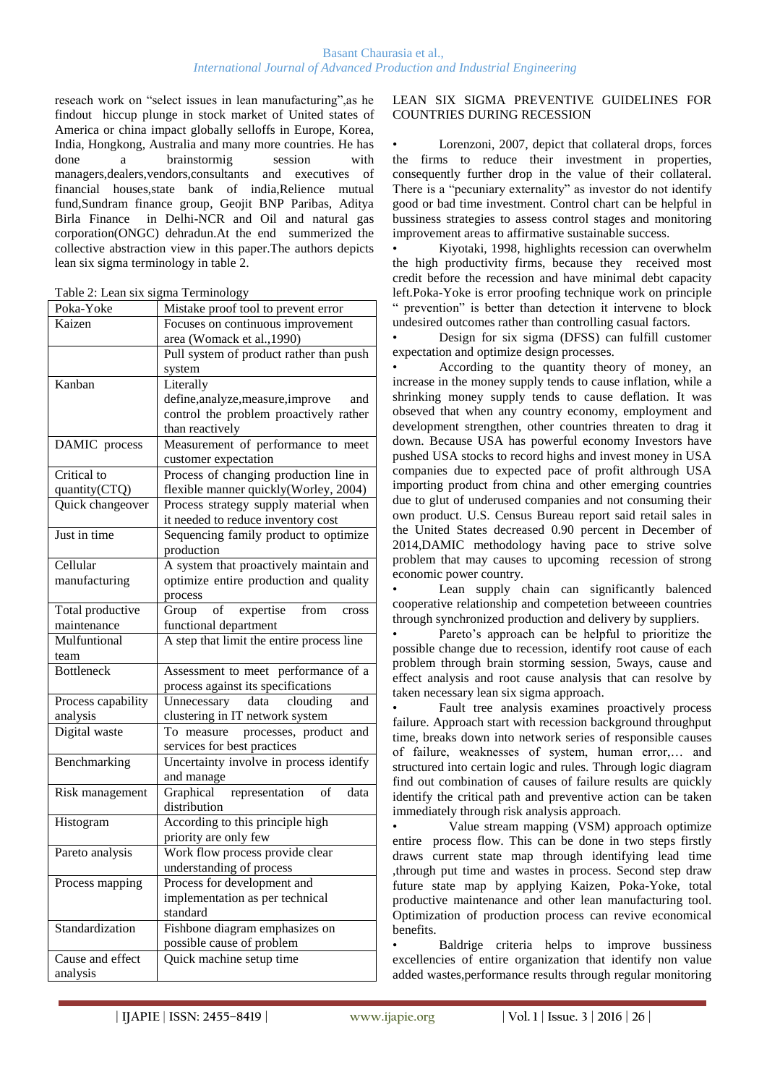reseach work on "select issues in lean manufacturing",as he findout hiccup plunge in stock market of United states of America or china impact globally selloffs in Europe, Korea, India, Hongkong, Australia and many more countries. He has done a brainstormig session with managers,dealers,vendors,consultants and executives of financial houses,state bank of india,Relience mutual fund,Sundram finance group, Geojit BNP Paribas, Aditya Birla Finance in Delhi-NCR and Oil and natural gas corporation(ONGC) dehradun.At the end summerized the collective abstraction view in this paper.The authors depicts lean six sigma terminology in table 2.

|  |  | Table 2: Lean six sigma Terminology |
|--|--|-------------------------------------|
|  |  |                                     |
|  |  |                                     |

| Poka-Yoke          | Mistake proof tool to prevent error       |
|--------------------|-------------------------------------------|
| Kaizen             | Focuses on continuous improvement         |
|                    | area (Womack et al., 1990)                |
|                    | Pull system of product rather than push   |
|                    | system                                    |
| Kanban             | Literally                                 |
|                    | define, analyze, measure, improve<br>and  |
|                    | control the problem proactively rather    |
|                    | than reactively                           |
| DAMIC process      | Measurement of performance to meet        |
|                    | customer expectation                      |
| Critical to        | Process of changing production line in    |
| quantity(CTQ)      | flexible manner quickly(Worley, 2004)     |
| Quick changeover   | Process strategy supply material when     |
|                    | it needed to reduce inventory cost        |
| Just in time       | Sequencing family product to optimize     |
|                    | production                                |
| Cellular           | A system that proactively maintain and    |
| manufacturing      | optimize entire production and quality    |
|                    | process                                   |
| Total productive   | expertise<br>Group<br>of<br>from<br>cross |
| maintenance        | functional department                     |
| Mulfuntional       | A step that limit the entire process line |
| team               |                                           |
| <b>Bottleneck</b>  | Assessment to meet performance of a       |
|                    | process against its specifications        |
| Process capability | data clouding<br>Unnecessary<br>and       |
| analysis           | clustering in IT network system           |
| Digital waste      | To measure processes, product and         |
|                    | services for best practices               |
| Benchmarking       | Uncertainty involve in process identify   |
|                    | and manage                                |
| Risk management    | representation<br>Graphical<br>of<br>data |
|                    | distribution                              |
| Histogram          | According to this principle high          |
|                    | priority are only few                     |
| Pareto analysis    | Work flow process provide clear           |
|                    | understanding of process                  |
| Process mapping    | Process for development and               |
|                    | implementation as per technical           |
|                    | standard                                  |
| Standardization    | Fishbone diagram emphasizes on            |
|                    | possible cause of problem                 |
| Cause and effect   | Quick machine setup time                  |
| analysis           |                                           |

# LEAN SIX SIGMA PREVENTIVE GUIDELINES FOR COUNTRIES DURING RECESSION

Lorenzoni, 2007, depict that collateral drops, forces the firms to reduce their investment in properties, consequently further drop in the value of their collateral. There is a "pecuniary externality" as investor do not identify good or bad time investment. Control chart can be helpful in bussiness strategies to assess control stages and monitoring improvement areas to affirmative sustainable success.

• Kiyotaki, 1998, highlights recession can overwhelm the high productivity firms, because they received most credit before the recession and have minimal debt capacity left.Poka-Yoke is error proofing technique work on principle " prevention" is better than detection it intervene to block undesired outcomes rather than controlling casual factors.

• Design for six sigma (DFSS) can fulfill customer expectation and optimize design processes.

• According to the quantity theory of money, an increase in the money supply tends to cause inflation, while a shrinking money supply tends to cause deflation. It was obseved that when any country economy, employment and development strengthen, other countries threaten to drag it down. Because USA has powerful economy Investors have pushed USA stocks to record highs and invest money in USA companies due to expected pace of profit althrough USA importing product from china and other emerging countries due to glut of underused companies and not consuming their own product. U.S. Census Bureau report said retail sales in the United States decreased 0.90 percent in December of 2014,DAMIC methodology having pace to strive solve problem that may causes to upcoming recession of strong economic power country.

Lean supply chain can significantly balenced cooperative relationship and competetion betweeen countries through synchronized production and delivery by suppliers.

Pareto's approach can be helpful to prioritize the possible change due to recession, identify root cause of each problem through brain storming session, 5ways, cause and effect analysis and root cause analysis that can resolve by taken necessary lean six sigma approach.

Fault tree analysis examines proactively process failure. Approach start with recession background throughput time, breaks down into network series of responsible causes of failure, weaknesses of system, human error,… and structured into certain logic and rules. Through logic diagram find out combination of causes of failure results are quickly identify the critical path and preventive action can be taken immediately through risk analysis approach.

• Value stream mapping (VSM) approach optimize entire process flow. This can be done in two steps firstly draws current state map through identifying lead time ,through put time and wastes in process. Second step draw future state map by applying Kaizen, Poka-Yoke, total productive maintenance and other lean manufacturing tool. Optimization of production process can revive economical benefits.

• Baldrige criteria helps to improve bussiness excellencies of entire organization that identify non value added wastes,performance results through regular monitoring